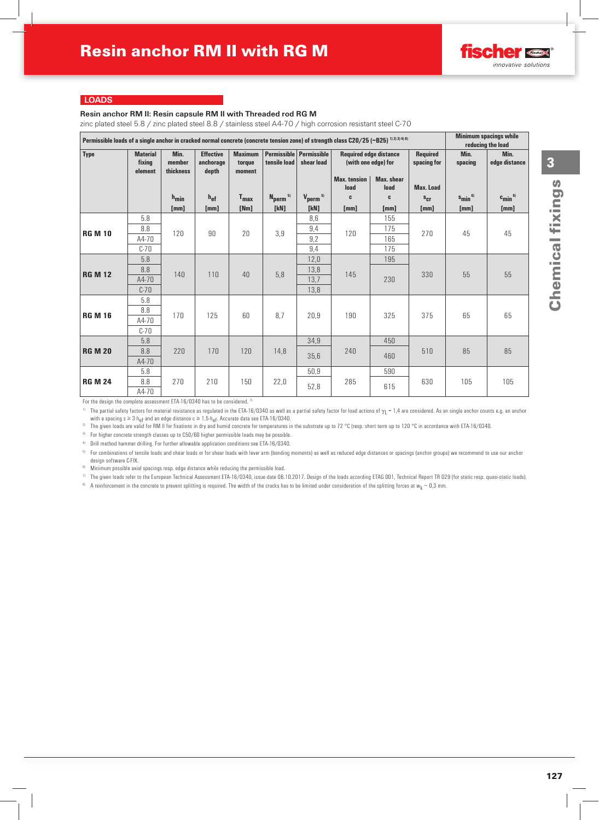### **Resin anchor RM II: Resin capsule RM II with Threaded rod RG M**

zinc plated steel 5.8 / zinc plated steel 8.8 / stainless steel A4-70 / high corrosion resistant steel C-70

| Permissible loads of a single anchor in cracked normal concrete (concrete tension zone) of strength class C20/25 (~B25) 1) 2) 3) 4) 8) |                                      |                             |                                        |                                                                                                                                                                                                                           |                                 |                                 |                 |                       |                  |                      | <b>Minimum spacings while</b><br>reducing the load |  |
|----------------------------------------------------------------------------------------------------------------------------------------|--------------------------------------|-----------------------------|----------------------------------------|---------------------------------------------------------------------------------------------------------------------------------------------------------------------------------------------------------------------------|---------------------------------|---------------------------------|-----------------|-----------------------|------------------|----------------------|----------------------------------------------------|--|
| <b>Type</b>                                                                                                                            | <b>Material</b><br>fixing<br>element | Min.<br>member<br>thickness | <b>Effective</b><br>anchorage<br>depth | <b>Permissible Permissible</b><br><b>Required</b><br><b>Maximum</b><br><b>Required edge distance</b><br>tensile load<br>shear load<br>(with one edge) for<br>torque<br>moment<br><b>Max.</b> tension<br><b>Max.</b> shear |                                 | spacing for                     | Min.<br>spacing | Min.<br>edge distance |                  |                      |                                                    |  |
|                                                                                                                                        |                                      |                             |                                        |                                                                                                                                                                                                                           |                                 |                                 | load            | load                  | <b>Max. Load</b> |                      |                                                    |  |
|                                                                                                                                        |                                      | $h_{\text{min}}$            | $h_{ef}$                               | $T_{\text{max}}$                                                                                                                                                                                                          | N <sub>perm</sub> <sup>5)</sup> | $V_{\text{perm}}$ <sup>5)</sup> | C               | C                     | $s_{cr}$         | $s_{\text{min}}^{6}$ | $c_{\text{min}}^{6}$                               |  |
|                                                                                                                                        |                                      | [mm]                        | [mm]                                   | [Nm]                                                                                                                                                                                                                      | [kN]                            | [kN]                            | [mm]            | [mm]                  | [mm]             | [mm]                 | [mm]                                               |  |
|                                                                                                                                        | 5.8                                  |                             |                                        | 20                                                                                                                                                                                                                        |                                 | 8,6                             | 120             | 155                   |                  | 45                   | 45                                                 |  |
| <b>RG M 10</b>                                                                                                                         | 8.8                                  | 120                         | 90                                     |                                                                                                                                                                                                                           | 3,9                             | 9,4                             |                 | 175                   | 270              |                      |                                                    |  |
|                                                                                                                                        | A4-70                                |                             |                                        |                                                                                                                                                                                                                           |                                 | 9,2                             |                 | 165                   |                  |                      |                                                    |  |
|                                                                                                                                        | $C-70$                               |                             |                                        |                                                                                                                                                                                                                           |                                 | 9,4                             |                 | 175                   |                  |                      |                                                    |  |
| <b>RG M 12</b>                                                                                                                         | 5.8                                  | 140                         | 110                                    | 40                                                                                                                                                                                                                        | 5,8                             | 12,0                            | 145             | 195                   |                  |                      | 55                                                 |  |
|                                                                                                                                        | 8.8                                  |                             |                                        |                                                                                                                                                                                                                           |                                 | 13,8                            |                 | 230                   | 330              | 55                   |                                                    |  |
|                                                                                                                                        | A4-70                                |                             |                                        |                                                                                                                                                                                                                           |                                 | 13,7                            |                 |                       |                  |                      |                                                    |  |
|                                                                                                                                        | $C-70$                               |                             |                                        |                                                                                                                                                                                                                           |                                 | 13,8                            |                 |                       |                  |                      |                                                    |  |
|                                                                                                                                        | 5.8                                  |                             | 125                                    | 60                                                                                                                                                                                                                        | 8,7                             |                                 |                 | 325                   |                  |                      | 65                                                 |  |
| <b>RG M 16</b>                                                                                                                         | 8.8                                  | 170                         |                                        |                                                                                                                                                                                                                           |                                 | 20,9                            | 190             |                       | 375              | 65                   |                                                    |  |
|                                                                                                                                        | A4-70                                |                             |                                        |                                                                                                                                                                                                                           |                                 |                                 |                 |                       |                  |                      |                                                    |  |
|                                                                                                                                        | $C-70$<br>5.8                        |                             |                                        |                                                                                                                                                                                                                           |                                 |                                 |                 | 450                   |                  |                      |                                                    |  |
| <b>RG M 20</b>                                                                                                                         | 8.8                                  | 220                         | 170                                    | 120                                                                                                                                                                                                                       | 14,8                            | 34,9                            | 240             |                       | 510              | 85                   | 85                                                 |  |
|                                                                                                                                        | A4-70                                |                             |                                        |                                                                                                                                                                                                                           |                                 | 35,6                            |                 | 460                   |                  |                      |                                                    |  |
|                                                                                                                                        | 5.8                                  |                             |                                        |                                                                                                                                                                                                                           |                                 | 50,9                            |                 | 590                   |                  |                      |                                                    |  |
| <b>RG M 24</b>                                                                                                                         | 8.8                                  | 270                         | 210                                    | 150                                                                                                                                                                                                                       | 22,0                            |                                 | 285             |                       | 630              | 105                  | 105                                                |  |
|                                                                                                                                        | A4-70                                |                             |                                        |                                                                                                                                                                                                                           |                                 | 52,8                            |                 | 615                   |                  |                      |                                                    |  |
|                                                                                                                                        |                                      |                             |                                        |                                                                                                                                                                                                                           |                                 |                                 |                 |                       |                  |                      |                                                    |  |

For the design the complete assessment ETA-16/0340 has to be considered.  $71$ 

<sup>1)</sup> The partial safety factors for material resistance as regulated in the ETA-16/0340 as well as a partial safety factor for load actions of  $\gamma_L$  = 1,4 are considered. As an single anchor counts e.g. an anchor counts e

<sup>2)</sup> The given loads are valid for RM II for fixations in dry and humid concrete for temperatures in the substrate up to 72 °C (resp. short term up to 120 °C in accordance with ETA-16/0340.

<sup>3)</sup> For higher concrete strength classes up to C50/60 higher permissible loads may be possible.

4) Drill method hammer drilling. For further allowable application conditions see ETA-16/0340.

5) For combinations of tensile loads and shear loads or for shear loads with lever arm (bending moments) as well as reduced edge distances or spacings (anchor groups) we recommend to use our anchor design software C-FIX.

 $6)$  Minimum possible axial spacings resp. edge distance while reducing the permissible load.

 $\eta$  The given loads refer to the European Technical Assessment ETA-16/0340, issue date 06.10.2017. Design of the loads according ETAG 001, Technical Report TR 029 (for static resp. quasi-static loads).

<sup>8)</sup> A reinforcement in the concrete to prevent splitting is required. The width of the cracks has to be limited under consideration of the splitting forces at w<sub>k</sub> ~ 0,3 mm.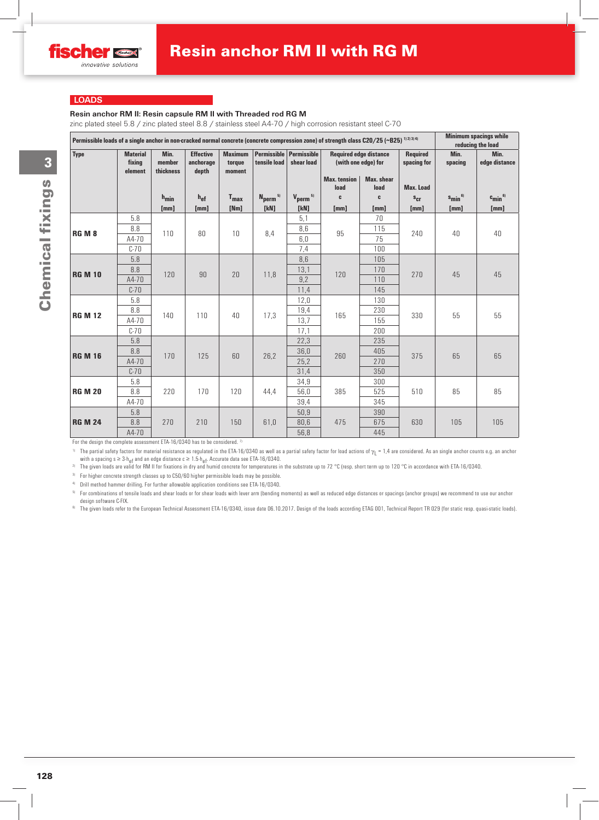# **Resin anchor RM II: Resin capsule RM II with Threaded rod RG M**

zinc plated steel 5.8 / zinc plated steel 8.8 / stainless steel A4-70 / high corrosion resistant steel C-70

| Permissible loads of a single anchor in non-cracked normal concrete (concrete compression zone) of strength class C20/25 (~B25) 1121314) |                                      |                             |                                        |                                    |                                           |                                 |                                                      |                           |                                | <b>Minimum spacings while</b><br>reducing the load |                          |
|------------------------------------------------------------------------------------------------------------------------------------------|--------------------------------------|-----------------------------|----------------------------------------|------------------------------------|-------------------------------------------|---------------------------------|------------------------------------------------------|---------------------------|--------------------------------|----------------------------------------------------|--------------------------|
| <b>Type</b>                                                                                                                              | <b>Material</b><br>fixing<br>element | Min.<br>member<br>thickness | <b>Effective</b><br>anchorage<br>depth | <b>Maximum</b><br>torque<br>moment | Permissible   Permissible<br>tensile load | shear load                      | <b>Required edge distance</b><br>(with one edge) for |                           | <b>Required</b><br>spacing for | Min.<br>spacing                                    | Min.<br>edge distance    |
|                                                                                                                                          |                                      |                             |                                        |                                    |                                           |                                 | <b>Max. tension</b><br>load                          | <b>Max.</b> shear<br>load | <b>Max. Load</b>               |                                                    |                          |
|                                                                                                                                          |                                      | $h_{\text{min}}$            | $h_{ef}$                               | $T_{\text{max}}$                   | $N_{perm}$ <sup>5)</sup>                  | $V_{\text{perm}}$ <sup>5)</sup> | C                                                    | C                         | $s_{cr}$                       | $s_{\min}$ <sup>6)</sup>                           | $c_{\min}$ <sup>6)</sup> |
|                                                                                                                                          |                                      | [mm]                        | [mm]                                   | [Nm]                               | [kN]                                      | [kN]                            | [mm]                                                 | [mm]                      | [mm]                           | [mm]                                               | [mm]                     |
|                                                                                                                                          | 5.8                                  |                             |                                        |                                    |                                           | 5,1                             | 95                                                   | 70                        |                                | 40                                                 | 40                       |
| <b>RG M 8</b>                                                                                                                            | 8.8                                  | 110                         | 80                                     | 10                                 | 8,4                                       | 8,6                             |                                                      | 115                       | 240                            |                                                    |                          |
|                                                                                                                                          | A4-70                                |                             |                                        |                                    |                                           | 6,0                             |                                                      | 75                        |                                |                                                    |                          |
|                                                                                                                                          | $C-70$                               |                             |                                        |                                    |                                           | 7,4                             |                                                      | 100                       |                                |                                                    |                          |
| <b>RG M 10</b>                                                                                                                           | 5.8                                  |                             | 90                                     | 20                                 | 11,8                                      | $8, 6$                          | 120                                                  | 105                       | 270                            |                                                    |                          |
|                                                                                                                                          | 8.8                                  | 120                         |                                        |                                    |                                           | 13,1                            |                                                      | 170                       |                                | 45                                                 | 45                       |
|                                                                                                                                          | A4-70                                |                             |                                        |                                    |                                           | 9,2                             |                                                      | 110                       |                                |                                                    |                          |
|                                                                                                                                          | $C-70$                               |                             |                                        |                                    |                                           | 11,4                            |                                                      | 145                       |                                |                                                    |                          |
|                                                                                                                                          | 5.8                                  |                             |                                        |                                    |                                           | 12,0                            |                                                      | 130<br>230                |                                |                                                    |                          |
| <b>RG M 12</b>                                                                                                                           | 8.8                                  | 140                         | 110                                    | 40                                 | 17,3                                      | 19,4                            | 165                                                  |                           | 330                            | 55                                                 | 55                       |
|                                                                                                                                          | A4-70<br>$C-70$                      |                             |                                        |                                    |                                           | 13,7                            |                                                      | 155<br>200                |                                |                                                    |                          |
|                                                                                                                                          | 5.8                                  |                             |                                        |                                    |                                           | 17,1<br>22,3                    |                                                      | 235                       |                                |                                                    |                          |
|                                                                                                                                          | 8.8                                  |                             | 125                                    | 60                                 | 26,2                                      | 36,0                            |                                                      | 405                       | 375                            | 65                                                 | 65                       |
| <b>RG M 16</b>                                                                                                                           | A4-70                                | 170                         |                                        |                                    |                                           | 25,2                            | 260                                                  | 270                       |                                |                                                    |                          |
|                                                                                                                                          | $C-70$                               |                             |                                        |                                    |                                           | 31,4                            |                                                      | 350                       |                                |                                                    |                          |
|                                                                                                                                          | 5.8                                  |                             |                                        |                                    |                                           | 34,9                            |                                                      | 300                       |                                |                                                    |                          |
| <b>RG M 20</b>                                                                                                                           | 8.8                                  | 220                         | 170                                    | 120                                | 44,4                                      | 56,0                            | 385                                                  | 525                       | 510                            | 85                                                 | 85                       |
|                                                                                                                                          | A4-70                                |                             |                                        |                                    |                                           | 39,4                            |                                                      | 345                       |                                |                                                    |                          |
|                                                                                                                                          | 5.8                                  |                             |                                        |                                    |                                           | 50,9                            |                                                      | 390                       |                                |                                                    |                          |
| <b>RG M 24</b>                                                                                                                           | 8.8                                  | 270                         | 210                                    | 150                                | 61,0                                      | 80,6                            | 475                                                  | 675                       | 630                            | 105                                                | 105                      |
|                                                                                                                                          | A4-70                                |                             |                                        |                                    |                                           | 56,8                            |                                                      | 445                       |                                |                                                    |                          |
|                                                                                                                                          |                                      |                             |                                        |                                    |                                           |                                 |                                                      |                           |                                |                                                    |                          |

For the design the complete assessment ETA-16/0340 has to be considered. 7)

<sup>1)</sup> The partial safety factors for material resistance as regulated in the ETA-16/0340 as well as a partial safety factor for load actions of  $\gamma_L$  = 1,4 are considered. As an single anchor counts e.g. an anchor counts e

<sup>2)</sup> The given loads are valid for RM II for fixations in dry and humid concrete for temperatures in the substrate up to 72 °C (resp. short term up to 120 °C in accordance with ETA-16/0340.

<sup>3)</sup> For higher concrete strength classes up to C50/60 higher permissible loads may be possible.

4) Drill method hammer drilling. For further allowable application conditions see ETA-16/0340.

5) For combinations of tensile loads and shear loads or for shear loads with lever arm (bending moments) as well as reduced edge distances or spacings (anchor groups) we recommend to use our anchor design software C-FIX.

<sup>6)</sup> The given loads refer to the European Technical Assessment ETA-16/0340, issue date 06.10.2017. Design of the loads according ETAG 001, Technical Report TR 029 (for static resp. quasi-static loads).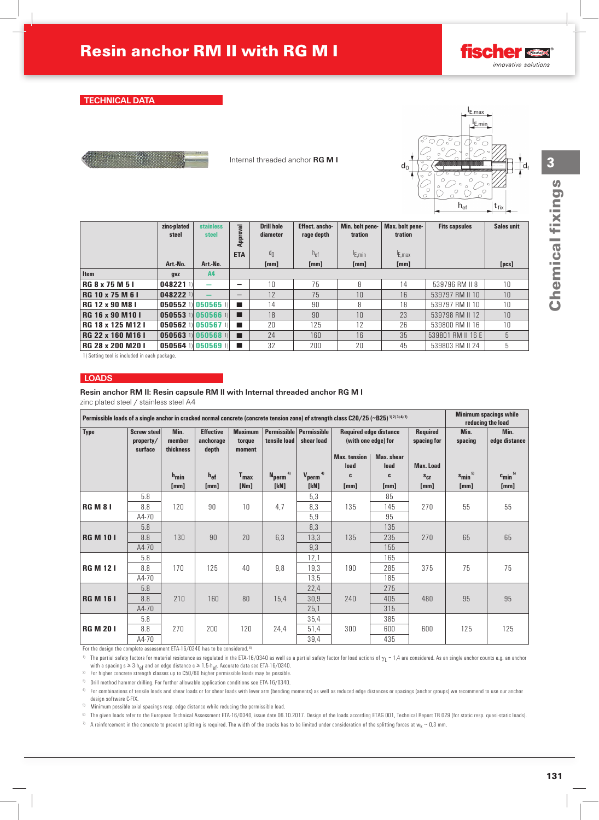### **Resin anchor RM II: Resin capsule RM II with Internal threaded anchor RG M I**

zinc plated steel / stainless steel A4

| Permissible loads of a single anchor in cracked normal concrete (concrete tension zone) of strength class C20/25 (~B25) <sup>11213471</sup> |                                            |                             |                                        |                                    |                                           |                          |                                                      |                    |                         |                                  | <b>Minimum spacings while</b><br>reducing the load |  |
|---------------------------------------------------------------------------------------------------------------------------------------------|--------------------------------------------|-----------------------------|----------------------------------------|------------------------------------|-------------------------------------------|--------------------------|------------------------------------------------------|--------------------|-------------------------|----------------------------------|----------------------------------------------------|--|
| <b>Type</b>                                                                                                                                 | <b>Screw steel</b><br>property/<br>surface | Min.<br>member<br>thickness | <b>Effective</b><br>anchorage<br>depth | <b>Maximum</b><br>torque<br>moment | Permissible   Permissible<br>tensile load | shear load               | <b>Required edge distance</b><br>(with one edge) for |                    | Required<br>spacing for | Min.<br>spacing                  | Min.<br>edge distance                              |  |
|                                                                                                                                             |                                            |                             |                                        |                                    |                                           |                          | <b>Max.</b> tension<br>load                          | Max. shear<br>load | <b>Max. Load</b>        |                                  |                                                    |  |
|                                                                                                                                             |                                            | $h_{\text{min}}$<br>[mm]    | $h_{ef}$<br>[mm]                       | $T_{max}$<br>[Nm]                  | 4)<br>$N_{perm}$<br>[kN]                  | 4)<br>$V_{perm}$<br>[kN] | C<br>[mm]                                            | C<br>[mm]          | $s_{cr}$<br>[mm]        | $s_{\min}$ <sup>5)</sup><br>[mm] | $c_{\text{min}}^{5}$<br>[mm]                       |  |
|                                                                                                                                             | 5.8                                        |                             |                                        |                                    |                                           | 5,3                      |                                                      | 85                 |                         |                                  |                                                    |  |
| <b>RGM81</b>                                                                                                                                | 8.8                                        | 120                         | 90                                     | 10                                 | 4,7                                       | 8,3                      | 135                                                  | 145                | 270                     | 55                               | 55                                                 |  |
|                                                                                                                                             | A4-70                                      |                             |                                        |                                    |                                           | 5,9                      |                                                      | 95                 |                         |                                  |                                                    |  |
|                                                                                                                                             | 5.8                                        |                             |                                        |                                    |                                           | 8,3                      |                                                      | 135                |                         |                                  |                                                    |  |
| <b>RG M 101</b>                                                                                                                             | 8.8                                        | 130                         | 90                                     | 20                                 | 6,3                                       | 13,3                     | 135                                                  | 235                | 270                     | 65                               | 65                                                 |  |
|                                                                                                                                             | $A4-70$                                    |                             |                                        |                                    |                                           | 9,3                      |                                                      | 155                |                         |                                  |                                                    |  |
|                                                                                                                                             | 5.8                                        |                             |                                        |                                    |                                           | 12,1                     |                                                      | 165                |                         |                                  |                                                    |  |
| <b>RG M 121</b>                                                                                                                             | 8.8                                        | 170                         | 125                                    | 40                                 | 9,8                                       | 19,3                     | 190                                                  | 285<br>185         | 375                     | 75                               | 75                                                 |  |
|                                                                                                                                             | A4-70<br>5.8                               |                             |                                        |                                    |                                           | 13,5<br>22,4             |                                                      | 275                |                         |                                  |                                                    |  |
| <b>RG M 16 I</b>                                                                                                                            | 8.8                                        | 210                         | 160                                    | 80                                 | 15,4                                      | 30,9                     | 240                                                  | 405                | 480                     | 95                               | 95                                                 |  |
|                                                                                                                                             | A4-70                                      |                             |                                        |                                    |                                           | 25,1                     |                                                      | 315                |                         |                                  |                                                    |  |
|                                                                                                                                             | 5.8                                        |                             |                                        |                                    |                                           | 35,4                     |                                                      | 385                |                         |                                  |                                                    |  |
| <b>RG M 201</b>                                                                                                                             | 8.8                                        | 270                         | 200                                    | 120                                | 24,4                                      | 51,4                     | 300                                                  | 600                | 600                     | 125                              | 125                                                |  |
|                                                                                                                                             | A4-70                                      |                             |                                        |                                    |                                           | 39,4                     |                                                      | 435                |                         |                                  |                                                    |  |

For the design the complete assessment ETA-16/0340 has to be considered. 6)

<sup>1)</sup> The partial safety factors for material resistance as regulated in the ETA-16/0340 as well as a partial safety factor for load actions of  $\gamma_L$  = 1,4 are considered. As an single anchor counts e.g. an anchor counts e

 $2)$  For higher concrete strength classes up to C50/60 higher permissible loads may be possible.

 $3)$  Drill method hammer drilling. For further allowable application conditions see ETA-16/0340.

4) For combinations of tensile loads and shear loads or for shear loads with lever arm (bending moments) as well as reduced edge distances or spacings (anchor groups) we recommend to use our anchor design software C-FIX.

<sup>5)</sup> Minimum possible axial spacings resp. edge distance while reducing the permissible load.

<sup>6)</sup> The given loads refer to the European Technical Assessment ETA-16/0340, issue date 06.10.2017. Design of the loads according ETAG 001, Technical Report TR 029 (for static resp. quasi-static loads).

7) A reinforcement in the concrete to prevent splitting is required. The width of the cracks has to be limited under consideration of the splitting forces at w<sub>k</sub> ~ 0,3 mm.